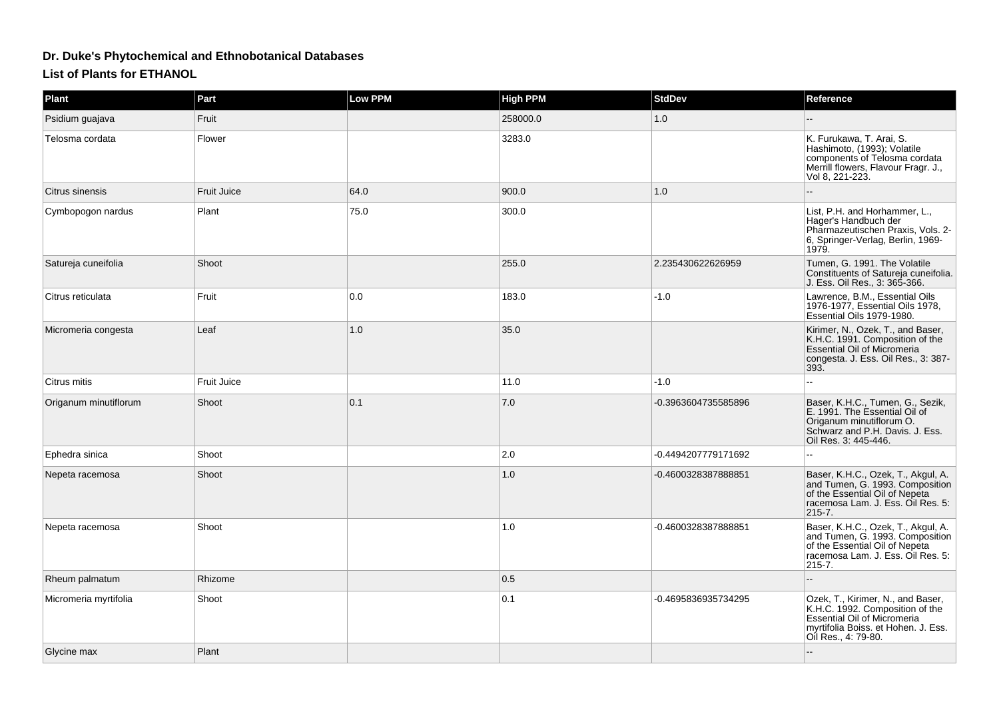## **Dr. Duke's Phytochemical and Ethnobotanical Databases**

**List of Plants for ETHANOL**

| <b>Plant</b>           | Part               | <b>Low PPM</b> | <b>High PPM</b> | <b>StdDev</b>       | Reference                                                                                                                                                         |
|------------------------|--------------------|----------------|-----------------|---------------------|-------------------------------------------------------------------------------------------------------------------------------------------------------------------|
| Psidium guajava        | Fruit              |                | 258000.0        | 1.0                 |                                                                                                                                                                   |
| Telosma cordata        | Flower             |                | 3283.0          |                     | K. Furukawa, T. Arai, S.<br>Hashimoto, (1993); Volatile<br>components of Telosma cordata<br>Merrill flowers, Flavour Fragr. J.,<br>Vol 8, 221-223.                |
| <b>Citrus sinensis</b> | <b>Fruit Juice</b> | 64.0           | 900.0           | 1.0                 |                                                                                                                                                                   |
| Cymbopogon nardus      | Plant              | 75.0           | 300.0           |                     | List, P.H. and Horhammer, L.,<br>Hager's Handbuch der<br>Pharmazeutischen Praxis, Vols. 2-<br>6, Springer-Verlag, Berlin, 1969-<br>1979.                          |
| Satureja cuneifolia    | Shoot              |                | 255.0           | 2.235430622626959   | Tumen, G. 1991. The Volatile<br>Constituents of Satureja cuneifolia.<br>J. Ess. Oil Res., 3: 365-366.                                                             |
| Citrus reticulata      | Fruit              | 0.0            | 183.0           | $-1.0$              | Lawrence, B.M., Essential Oils<br>1976-1977, Essential Oils 1978,<br>Essential Oils 1979-1980.                                                                    |
| Micromeria congesta    | Leaf               | 1.0            | 35.0            |                     | Kirimer, N., Ozek, T., and Baser,<br>K.H.C. 1991. Composition of the<br>Essential Oil of Micromeria<br>congesta. J. Ess. Oil Res., 3: 387-<br>393.                |
| Citrus mitis           | Fruit Juice        |                | 11.0            | $-1.0$              |                                                                                                                                                                   |
| Origanum minutiflorum  | Shoot              | 0.1            | 7.0             | -0.3963604735585896 | Baser, K.H.C., Tumen, G., Sezik,<br>E. 1991. The Essential Oil of<br>Origanum minutiflorum O.<br>Schwarz and P.H. Davis. J. Ess.<br>Oil Res. 3: 445-446.          |
| Ephedra sinica         | Shoot              |                | 2.0             | -0.4494207779171692 |                                                                                                                                                                   |
| Nepeta racemosa        | Shoot              |                | 1.0             | -0.4600328387888851 | Baser, K.H.C., Ozek, T., Akgul, A.<br>and Tumen, G. 1993. Composition<br>of the Essential Oil of Nepeta<br>racemosa Lam. J. Ess. Oil Res. 5:<br>$215 - 7.$        |
| Nepeta racemosa        | Shoot              |                | 1.0             | -0.4600328387888851 | Baser, K.H.C., Ozek, T., Akgul, A.<br>and Tumen, G. 1993. Composition<br>of the Essential Oil of Nepeta<br>racemosa Lam. J. Ess. Oil Res. 5:<br>$215 - 7.$        |
| Rheum palmatum         | Rhizome            |                | 0.5             |                     |                                                                                                                                                                   |
| Micromeria myrtifolia  | Shoot              |                | 0.1             | -0.4695836935734295 | Ozek, T., Kirimer, N., and Baser,<br>K.H.C. 1992. Composition of the<br>Essential Oil of Micromeria<br>myrtifolia Boiss. et Hohen. J. Ess.<br>Oil Res., 4: 79-80. |
| Glycine max            | Plant              |                |                 |                     |                                                                                                                                                                   |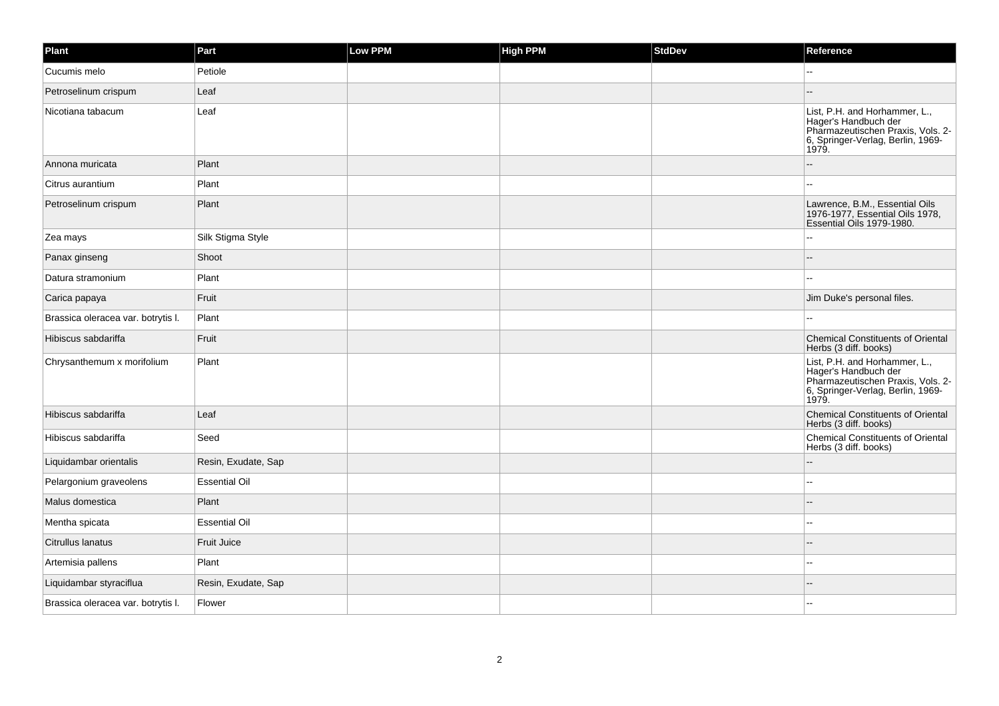| Plant                              | Part                 | Low PPM | <b>High PPM</b> | <b>StdDev</b> | Reference                                                                                                                                |
|------------------------------------|----------------------|---------|-----------------|---------------|------------------------------------------------------------------------------------------------------------------------------------------|
| Cucumis melo                       | Petiole              |         |                 |               |                                                                                                                                          |
| Petroselinum crispum               | Leaf                 |         |                 |               |                                                                                                                                          |
| Nicotiana tabacum                  | Leaf                 |         |                 |               | List, P.H. and Horhammer, L.,<br>Hager's Handbuch der<br>Pharmazeutischen Praxis, Vols. 2-<br>6, Springer-Verlag, Berlin, 1969-<br>1979. |
| Annona muricata                    | Plant                |         |                 |               |                                                                                                                                          |
| Citrus aurantium                   | Plant                |         |                 |               | $\sim$                                                                                                                                   |
| Petroselinum crispum               | Plant                |         |                 |               | Lawrence, B.M., Essential Oils<br>1976-1977, Essential Oils 1978,<br>Essential Oils 1979-1980.                                           |
| Zea mays                           | Silk Stigma Style    |         |                 |               |                                                                                                                                          |
| Panax ginseng                      | Shoot                |         |                 |               |                                                                                                                                          |
| Datura stramonium                  | Plant                |         |                 |               |                                                                                                                                          |
| Carica papaya                      | Fruit                |         |                 |               | Jim Duke's personal files.                                                                                                               |
| Brassica oleracea var. botrytis I. | Plant                |         |                 |               |                                                                                                                                          |
| Hibiscus sabdariffa                | Fruit                |         |                 |               | <b>Chemical Constituents of Oriental</b><br>Herbs (3 diff. books)                                                                        |
| Chrysanthemum x morifolium         | Plant                |         |                 |               | List, P.H. and Horhammer, L.,<br>Hager's Handbuch der<br>Pharmazeutischen Praxis, Vols. 2-<br>6, Springer-Verlag, Berlin, 1969-<br>1979. |
| Hibiscus sabdariffa                | Leaf                 |         |                 |               | <b>Chemical Constituents of Oriental</b><br>Herbs (3 diff. books)                                                                        |
| Hibiscus sabdariffa                | Seed                 |         |                 |               | <b>Chemical Constituents of Oriental</b><br>Herbs (3 diff. books)                                                                        |
| Liquidambar orientalis             | Resin, Exudate, Sap  |         |                 |               |                                                                                                                                          |
| Pelargonium graveolens             | <b>Essential Oil</b> |         |                 |               | $-$                                                                                                                                      |
| Malus domestica                    | Plant                |         |                 |               |                                                                                                                                          |
| Mentha spicata                     | <b>Essential Oil</b> |         |                 |               |                                                                                                                                          |
| Citrullus lanatus                  | Fruit Juice          |         |                 |               |                                                                                                                                          |
| Artemisia pallens                  | Plant                |         |                 |               | --                                                                                                                                       |
| Liquidambar styraciflua            | Resin, Exudate, Sap  |         |                 |               |                                                                                                                                          |
| Brassica oleracea var. botrytis I. | Flower               |         |                 |               |                                                                                                                                          |